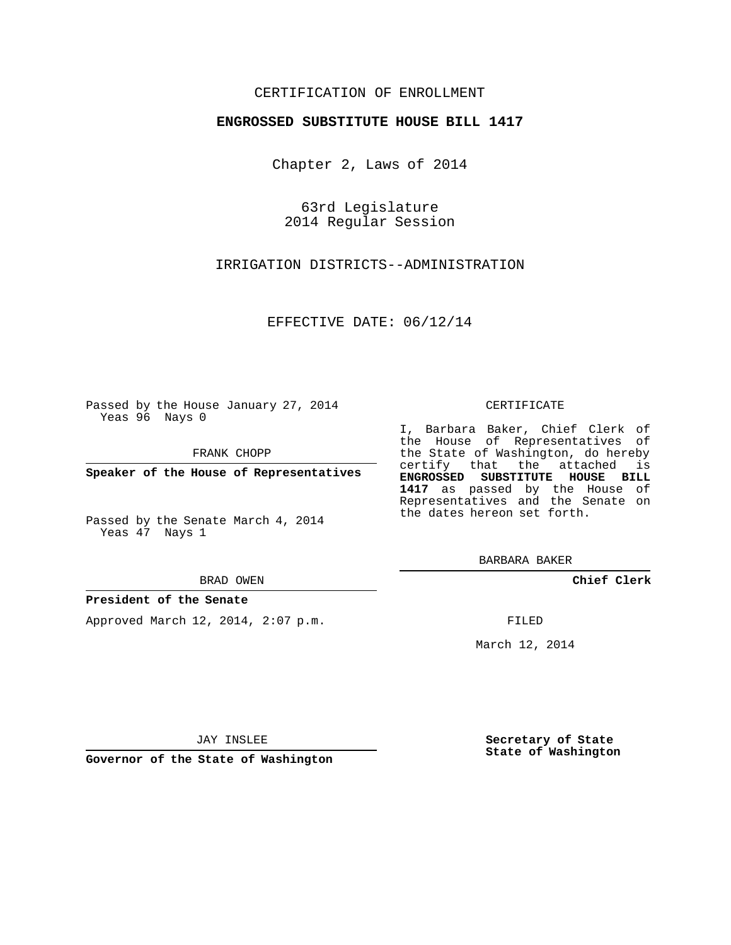### CERTIFICATION OF ENROLLMENT

#### **ENGROSSED SUBSTITUTE HOUSE BILL 1417**

Chapter 2, Laws of 2014

63rd Legislature 2014 Regular Session

IRRIGATION DISTRICTS--ADMINISTRATION

EFFECTIVE DATE: 06/12/14

Passed by the House January 27, 2014 Yeas 96 Nays 0

FRANK CHOPP

**Speaker of the House of Representatives**

Passed by the Senate March 4, 2014 Yeas 47 Nays 1

BRAD OWEN

#### **President of the Senate**

Approved March 12, 2014, 2:07 p.m.

CERTIFICATE

I, Barbara Baker, Chief Clerk of the House of Representatives of the State of Washington, do hereby certify that the attached is **ENGROSSED SUBSTITUTE HOUSE BILL 1417** as passed by the House of Representatives and the Senate on the dates hereon set forth.

BARBARA BAKER

**Chief Clerk**

FILED

March 12, 2014

JAY INSLEE

**Governor of the State of Washington**

**Secretary of State State of Washington**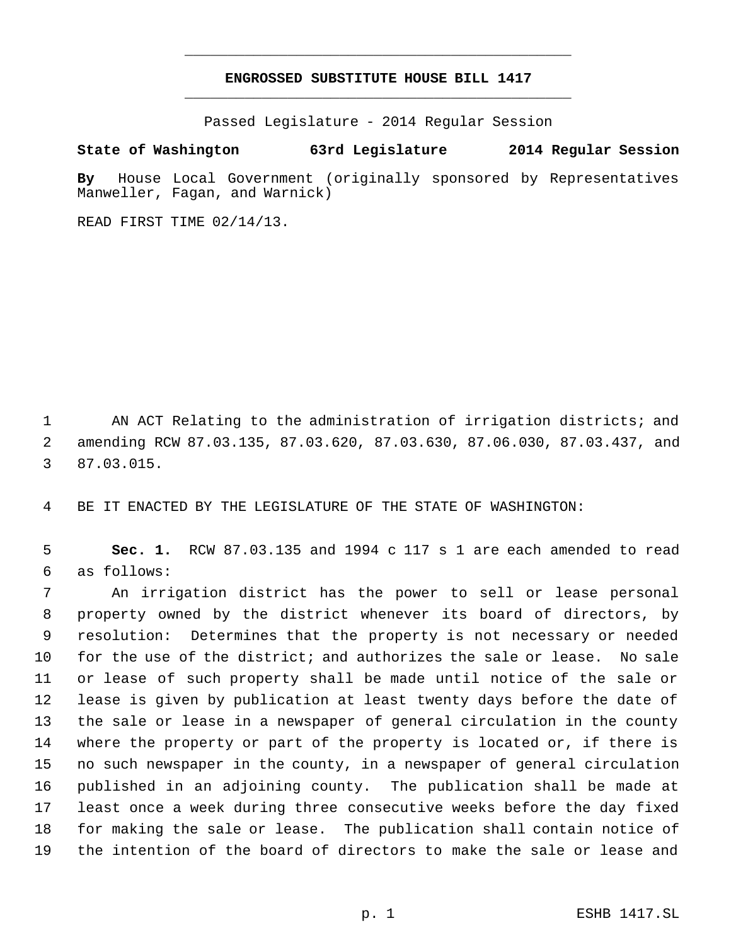# **ENGROSSED SUBSTITUTE HOUSE BILL 1417** \_\_\_\_\_\_\_\_\_\_\_\_\_\_\_\_\_\_\_\_\_\_\_\_\_\_\_\_\_\_\_\_\_\_\_\_\_\_\_\_\_\_\_\_\_

\_\_\_\_\_\_\_\_\_\_\_\_\_\_\_\_\_\_\_\_\_\_\_\_\_\_\_\_\_\_\_\_\_\_\_\_\_\_\_\_\_\_\_\_\_

Passed Legislature - 2014 Regular Session

## **State of Washington 63rd Legislature 2014 Regular Session**

**By** House Local Government (originally sponsored by Representatives Manweller, Fagan, and Warnick)

READ FIRST TIME 02/14/13.

1 AN ACT Relating to the administration of irrigation districts; and amending RCW 87.03.135, 87.03.620, 87.03.630, 87.06.030, 87.03.437, and 87.03.015.

BE IT ENACTED BY THE LEGISLATURE OF THE STATE OF WASHINGTON:

 **Sec. 1.** RCW 87.03.135 and 1994 c 117 s 1 are each amended to read as follows:

 An irrigation district has the power to sell or lease personal property owned by the district whenever its board of directors, by resolution: Determines that the property is not necessary or needed for the use of the district; and authorizes the sale or lease. No sale or lease of such property shall be made until notice of the sale or lease is given by publication at least twenty days before the date of the sale or lease in a newspaper of general circulation in the county where the property or part of the property is located or, if there is no such newspaper in the county, in a newspaper of general circulation published in an adjoining county. The publication shall be made at least once a week during three consecutive weeks before the day fixed for making the sale or lease. The publication shall contain notice of the intention of the board of directors to make the sale or lease and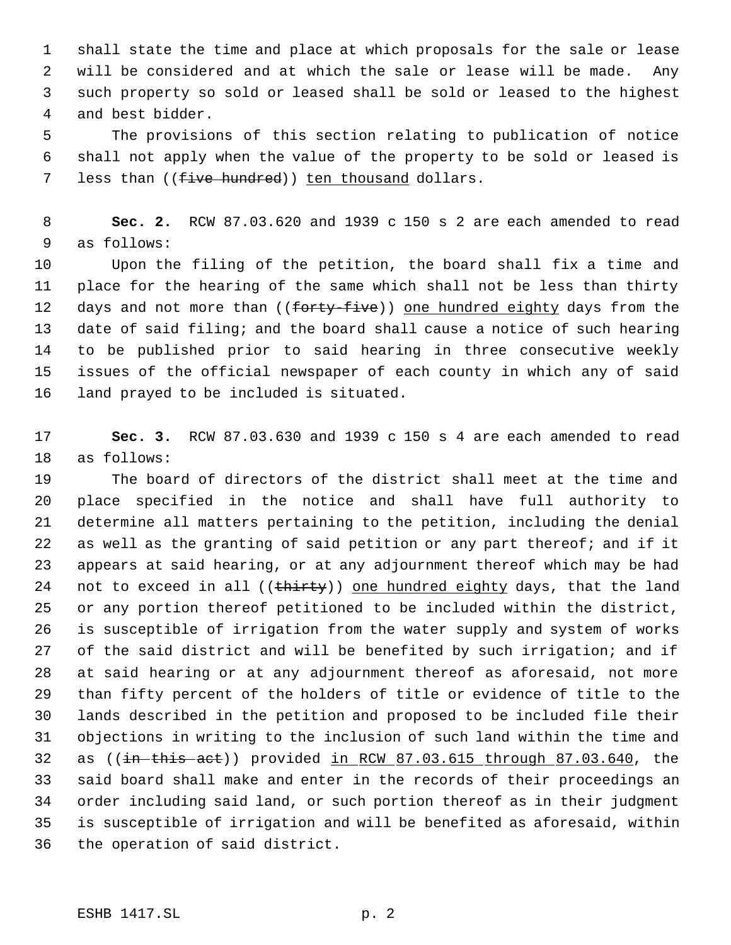shall state the time and place at which proposals for the sale or lease will be considered and at which the sale or lease will be made. Any such property so sold or leased shall be sold or leased to the highest and best bidder.

 The provisions of this section relating to publication of notice shall not apply when the value of the property to be sold or leased is 7 less than ((five hundred)) ten thousand dollars.

 **Sec. 2.** RCW 87.03.620 and 1939 c 150 s 2 are each amended to read as follows:

 Upon the filing of the petition, the board shall fix a time and place for the hearing of the same which shall not be less than thirty 12 days and not more than ((forty-five)) one hundred eighty days from the date of said filing; and the board shall cause a notice of such hearing to be published prior to said hearing in three consecutive weekly issues of the official newspaper of each county in which any of said land prayed to be included is situated.

 **Sec. 3.** RCW 87.03.630 and 1939 c 150 s 4 are each amended to read as follows:

 The board of directors of the district shall meet at the time and place specified in the notice and shall have full authority to determine all matters pertaining to the petition, including the denial as well as the granting of said petition or any part thereof; and if it appears at said hearing, or at any adjournment thereof which may be had 24 not to exceed in all ((thirty)) one hundred eighty days, that the land or any portion thereof petitioned to be included within the district, is susceptible of irrigation from the water supply and system of works of the said district and will be benefited by such irrigation; and if at said hearing or at any adjournment thereof as aforesaid, not more than fifty percent of the holders of title or evidence of title to the lands described in the petition and proposed to be included file their objections in writing to the inclusion of such land within the time and 32 as  $((\text{in}-\text{this}-\text{act}))$  provided in RCW  $87.03.615$  through  $87.03.640$ , the said board shall make and enter in the records of their proceedings an order including said land, or such portion thereof as in their judgment is susceptible of irrigation and will be benefited as aforesaid, within the operation of said district.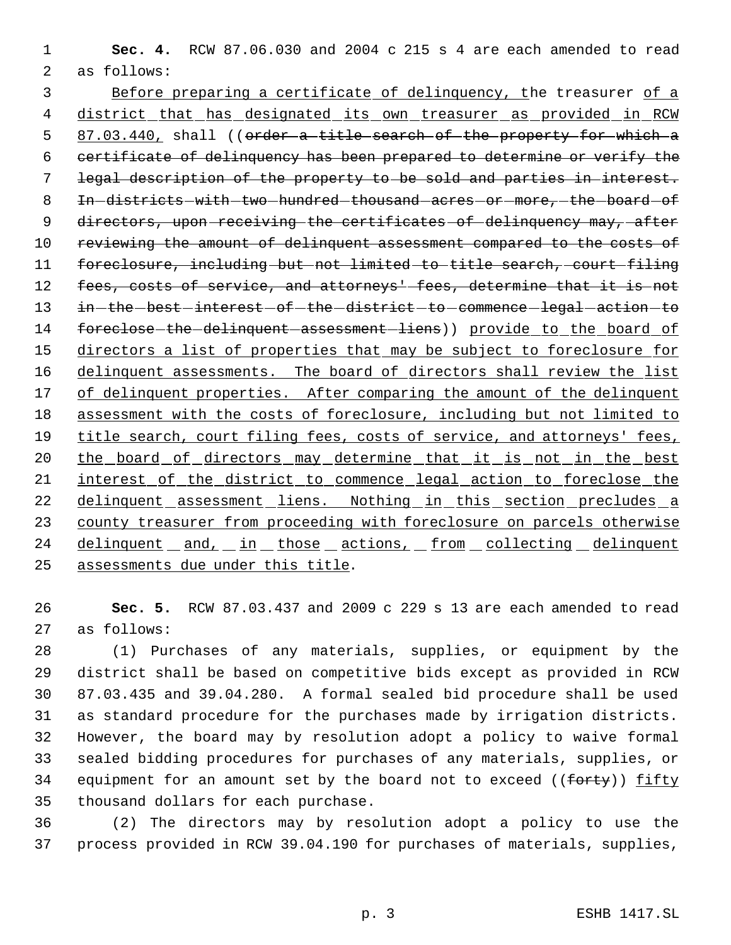1 **Sec. 4.** RCW 87.06.030 and 2004 c 215 s 4 are each amended to read 2 as follows:

3 Before preparing a certificate of delinquency, the treasurer of a 4 district that has designated its own treasurer as provided in RCW 5 87.03.440, shall ((order a title search of the property for which a 6 certificate of delinquency has been prepared to determine or verify the 7 legal description of the property to be sold and parties in interest. 8 In-districts-with-two-hundred-thousand-acres-or-more,-the-board-of 9 directors, upon-receiving the certificates of delinquency may, after 10 reviewing the amount of delinquent assessment compared to the costs of 11 foreclosure, including but not limited to title search, court filing 12 fees, costs of service, and attorneys<sup>1</sup> fees, determine that it is not 13 in-the-best-interest-of-the-district-to-commence-legal-action-to 14 foreclose-the-delinquent-assessment-liens)) provide to the board of 15 directors a list of properties that may be subject to foreclosure for 16 delinquent assessments. The board of directors shall review the list 17 of delinquent properties. After comparing the amount of the delinquent 18 assessment with the costs of foreclosure, including but not limited to 19 title search, court filing fees, costs of service, and attorneys' fees, 20 the board of directors may determine that it is not in the best 21 interest of the district to commence legal action to foreclose the 22 delinquent assessment liens. Nothing in this section precludes a 23 county treasurer from proceeding with foreclosure on parcels otherwise 24 delinquent and, in those actions, from collecting delinquent 25 assessments due under this title.

26 **Sec. 5.** RCW 87.03.437 and 2009 c 229 s 13 are each amended to read 27 as follows:

 (1) Purchases of any materials, supplies, or equipment by the district shall be based on competitive bids except as provided in RCW 87.03.435 and 39.04.280. A formal sealed bid procedure shall be used as standard procedure for the purchases made by irrigation districts. However, the board may by resolution adopt a policy to waive formal sealed bidding procedures for purchases of any materials, supplies, or 34 equipment for an amount set by the board not to exceed ((forty)) fifty thousand dollars for each purchase.

36 (2) The directors may by resolution adopt a policy to use the 37 process provided in RCW 39.04.190 for purchases of materials, supplies,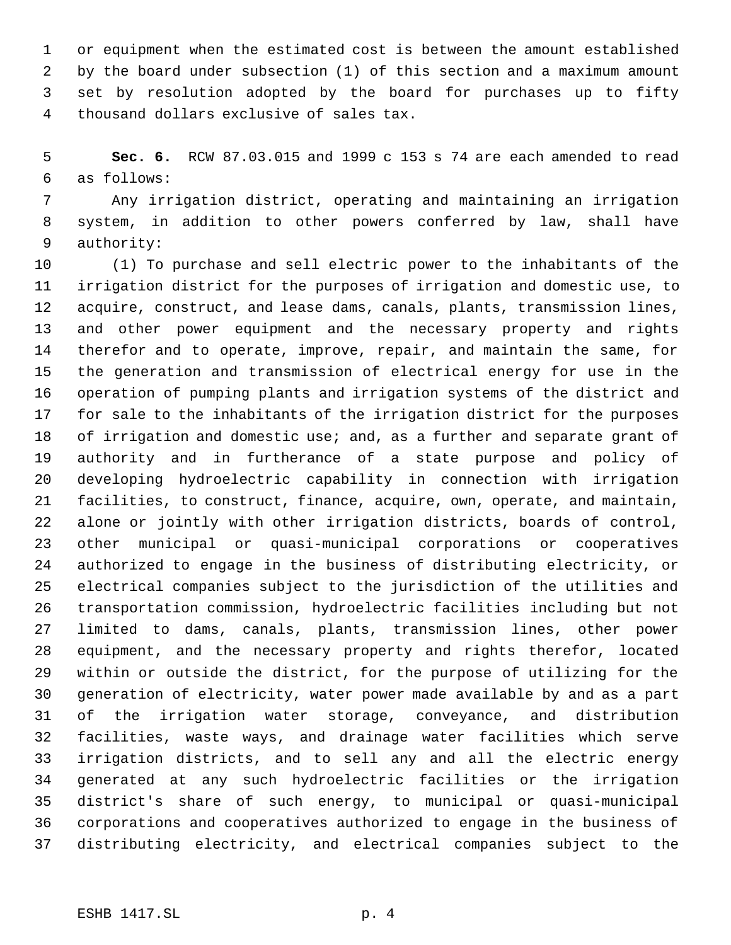or equipment when the estimated cost is between the amount established by the board under subsection (1) of this section and a maximum amount set by resolution adopted by the board for purchases up to fifty thousand dollars exclusive of sales tax.

 **Sec. 6.** RCW 87.03.015 and 1999 c 153 s 74 are each amended to read as follows:

 Any irrigation district, operating and maintaining an irrigation system, in addition to other powers conferred by law, shall have authority:

 (1) To purchase and sell electric power to the inhabitants of the irrigation district for the purposes of irrigation and domestic use, to acquire, construct, and lease dams, canals, plants, transmission lines, and other power equipment and the necessary property and rights therefor and to operate, improve, repair, and maintain the same, for the generation and transmission of electrical energy for use in the operation of pumping plants and irrigation systems of the district and for sale to the inhabitants of the irrigation district for the purposes 18 of irrigation and domestic use; and, as a further and separate grant of authority and in furtherance of a state purpose and policy of developing hydroelectric capability in connection with irrigation facilities, to construct, finance, acquire, own, operate, and maintain, alone or jointly with other irrigation districts, boards of control, other municipal or quasi-municipal corporations or cooperatives authorized to engage in the business of distributing electricity, or electrical companies subject to the jurisdiction of the utilities and transportation commission, hydroelectric facilities including but not limited to dams, canals, plants, transmission lines, other power equipment, and the necessary property and rights therefor, located within or outside the district, for the purpose of utilizing for the generation of electricity, water power made available by and as a part of the irrigation water storage, conveyance, and distribution facilities, waste ways, and drainage water facilities which serve irrigation districts, and to sell any and all the electric energy generated at any such hydroelectric facilities or the irrigation district's share of such energy, to municipal or quasi-municipal corporations and cooperatives authorized to engage in the business of distributing electricity, and electrical companies subject to the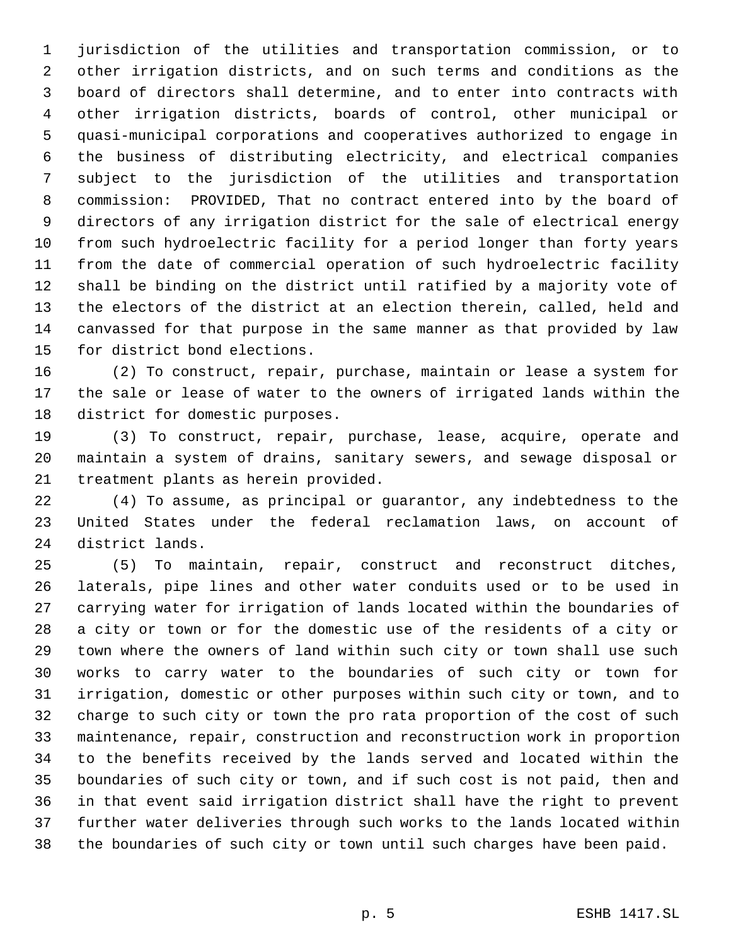jurisdiction of the utilities and transportation commission, or to other irrigation districts, and on such terms and conditions as the board of directors shall determine, and to enter into contracts with other irrigation districts, boards of control, other municipal or quasi-municipal corporations and cooperatives authorized to engage in the business of distributing electricity, and electrical companies subject to the jurisdiction of the utilities and transportation commission: PROVIDED, That no contract entered into by the board of directors of any irrigation district for the sale of electrical energy from such hydroelectric facility for a period longer than forty years from the date of commercial operation of such hydroelectric facility shall be binding on the district until ratified by a majority vote of the electors of the district at an election therein, called, held and canvassed for that purpose in the same manner as that provided by law for district bond elections.

 (2) To construct, repair, purchase, maintain or lease a system for the sale or lease of water to the owners of irrigated lands within the district for domestic purposes.

 (3) To construct, repair, purchase, lease, acquire, operate and maintain a system of drains, sanitary sewers, and sewage disposal or treatment plants as herein provided.

 (4) To assume, as principal or guarantor, any indebtedness to the United States under the federal reclamation laws, on account of district lands.

 (5) To maintain, repair, construct and reconstruct ditches, laterals, pipe lines and other water conduits used or to be used in carrying water for irrigation of lands located within the boundaries of a city or town or for the domestic use of the residents of a city or town where the owners of land within such city or town shall use such works to carry water to the boundaries of such city or town for irrigation, domestic or other purposes within such city or town, and to charge to such city or town the pro rata proportion of the cost of such maintenance, repair, construction and reconstruction work in proportion to the benefits received by the lands served and located within the boundaries of such city or town, and if such cost is not paid, then and in that event said irrigation district shall have the right to prevent further water deliveries through such works to the lands located within the boundaries of such city or town until such charges have been paid.